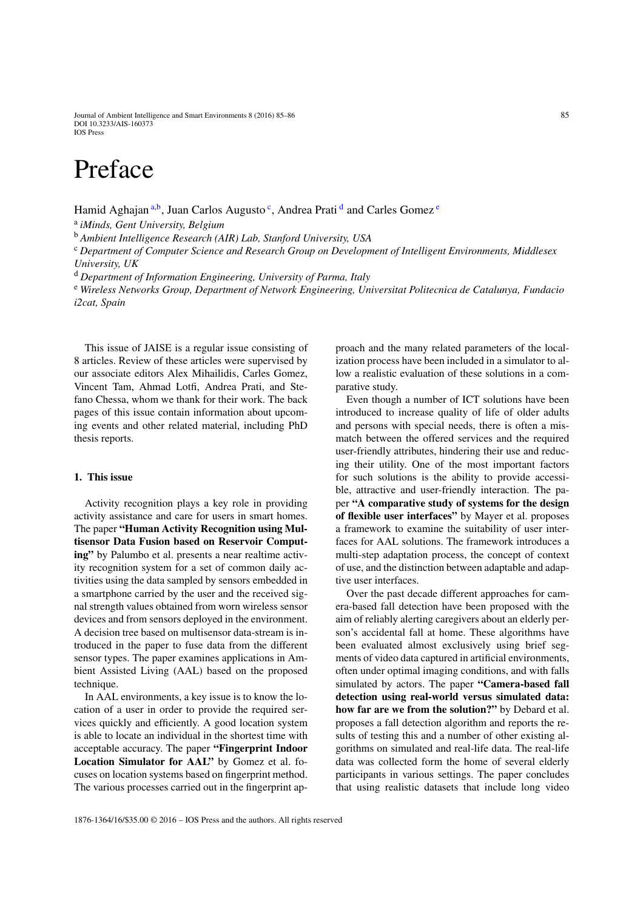## Preface

H[a](#page-0-0)mid Aghajan a[,b,](#page-0-1) Juan Carlos Augusto<sup>[c](#page-0-2)</sup>, An[d](#page-0-3)r[e](#page-0-4)a Prati d and Carles Gomez<sup>e</sup>

<span id="page-0-1"></span><sup>a</sup> *iMinds, Gent University, Belgium*

<span id="page-0-2"></span><sup>b</sup> *Ambient Intelligence Research (AIR) Lab, Stanford University, USA*

<sup>c</sup> *Department of Computer Science and Research Group on Development of Intelligent Environments, Middlesex University, UK*

<span id="page-0-4"></span><span id="page-0-3"></span><sup>d</sup> *Department of Information Engineering, University of Parma, Italy*

<sup>e</sup> *Wireless Networks Group, Department of Network Engineering, Universitat Politecnica de Catalunya, Fundacio i2cat, Spain*

This issue of JAISE is a regular issue consisting of 8 articles. Review of these articles were supervised by our associate editors Alex Mihailidis, Carles Gomez, Vincent Tam, Ahmad Lotfi, Andrea Prati, and Stefano Chessa, whom we thank for their work. The back pages of this issue contain information about upcoming events and other related material, including PhD thesis reports.

## **1. This issue**

Activity recognition plays a key role in providing activity assistance and care for users in smart homes. The paper **"Human Activity Recognition using Multisensor Data Fusion based on Reservoir Computing"** by Palumbo et al. presents a near realtime activity recognition system for a set of common daily activities using the data sampled by sensors embedded in a smartphone carried by the user and the received signal strength values obtained from worn wireless sensor devices and from sensors deployed in the environment. A decision tree based on multisensor data-stream is introduced in the paper to fuse data from the different sensor types. The paper examines applications in Ambient Assisted Living (AAL) based on the proposed technique.

In AAL environments, a key issue is to know the location of a user in order to provide the required services quickly and efficiently. A good location system is able to locate an individual in the shortest time with acceptable accuracy. The paper **"Fingerprint Indoor Location Simulator for AAL"** by Gomez et al. focuses on location systems based on fingerprint method. The various processes carried out in the fingerprint ap<span id="page-0-0"></span>proach and the many related parameters of the localization process have been included in a simulator to allow a realistic evaluation of these solutions in a comparative study.

Even though a number of ICT solutions have been introduced to increase quality of life of older adults and persons with special needs, there is often a mismatch between the offered services and the required user-friendly attributes, hindering their use and reducing their utility. One of the most important factors for such solutions is the ability to provide accessible, attractive and user-friendly interaction. The paper **"A comparative study of systems for the design of flexible user interfaces"** by Mayer et al. proposes a framework to examine the suitability of user interfaces for AAL solutions. The framework introduces a multi-step adaptation process, the concept of context of use, and the distinction between adaptable and adaptive user interfaces.

Over the past decade different approaches for camera-based fall detection have been proposed with the aim of reliably alerting caregivers about an elderly person's accidental fall at home. These algorithms have been evaluated almost exclusively using brief segments of video data captured in artificial environments, often under optimal imaging conditions, and with falls simulated by actors. The paper **"Camera-based fall detection using real-world versus simulated data: how far are we from the solution?"** by Debard et al. proposes a fall detection algorithm and reports the results of testing this and a number of other existing algorithms on simulated and real-life data. The real-life data was collected form the home of several elderly participants in various settings. The paper concludes that using realistic datasets that include long video